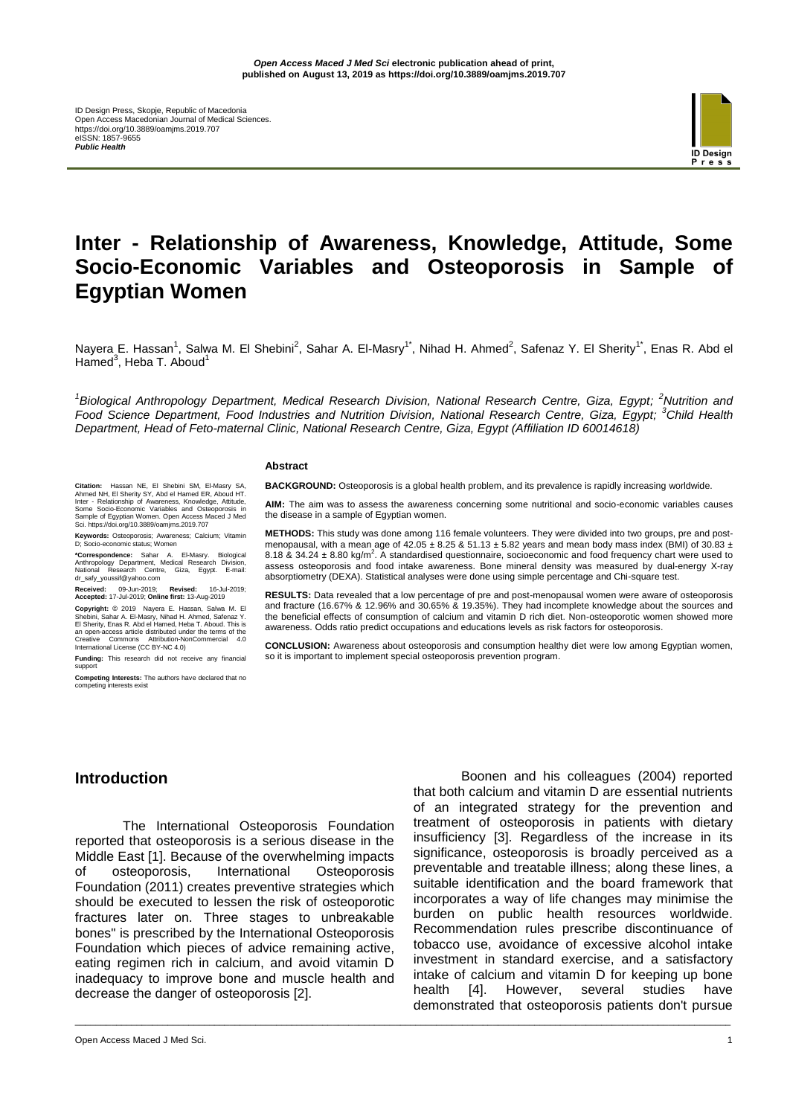

# **Inter - Relationship of Awareness, Knowledge, Attitude, Some Socio-Economic Variables and Osteoporosis in Sample of Egyptian Women**

Nayera E. Hassan<sup>1</sup>, Salwa M. El Shebini<sup>2</sup>, Sahar A. El-Masry<sup>1\*</sup>, Nihad H. Ahmed<sup>2</sup>, Safenaz Y. El Sherity<sup>1\*</sup>, Enas R. Abd el Hamed<sup>3</sup>, Heba T. Aboud<sup>1</sup>

*1 Biological Anthropology Department, Medical Research Division, National Research Centre, Giza, Egypt; <sup>2</sup>Nutrition and Food Science Department, Food Industries and Nutrition Division, National Research Centre, Giza, Egypt; <sup>3</sup>Child Health Department, Head of Feto-maternal Clinic, National Research Centre, Giza, Egypt (Affiliation ID 60014618)*

\_\_\_\_\_\_\_\_\_\_\_\_\_\_\_\_\_\_\_\_\_\_\_\_\_\_\_\_\_\_\_\_\_\_\_\_\_\_\_\_\_\_\_\_\_\_\_\_\_\_\_\_\_\_\_\_\_\_\_\_\_\_\_\_\_\_\_\_\_\_\_\_\_\_\_\_\_\_\_\_\_\_\_\_\_\_\_\_\_\_\_\_\_\_\_\_\_\_\_\_\_\_\_\_\_\_\_\_\_\_\_\_\_\_\_\_\_\_\_\_\_\_\_\_\_\_\_

#### **Abstract**

**BACKGROUND:** Osteoporosis is a global health problem, and its prevalence is rapidly increasing worldwide.

**AIM:** The aim was to assess the awareness concerning some nutritional and socio-economic variables causes the disease in a sample of Egyptian women.

**METHODS:** This study was done among 116 female volunteers. They were divided into two groups, pre and postmenopausal, with a mean age of  $42.05 \pm 8.25$  &  $51.13 \pm 5.82$  years and mean body mass index (BMI) of 30.83  $\pm$ 8.18 & 34.24 ± 8.80 kg/m<sup>2</sup>. A standardised questionnaire, socioeconomic and food frequency chart were used to assess osteoporosis and food intake awareness. Bone mineral density was measured by dual-energy X-ray absorptiometry (DEXA). Statistical analyses were done using simple percentage and Chi-square test.

**RESULTS:** Data revealed that a low percentage of pre and post-menopausal women were aware of osteoporosis and fracture (16.67% & 12.96% and 30.65% & 19.35%). They had incomplete knowledge about the sources and the beneficial effects of consumption of calcium and vitamin D rich diet. Non-osteoporotic women showed more awareness. Odds ratio predict occupations and educations levels as risk factors for osteoporosis.

**CONCLUSION:** Awareness about osteoporosis and consumption healthy diet were low among Egyptian women, so it is important to implement special osteoporosis prevention program.

**Citation:** Hassan NE, El Shebini SM, El-Masry SA, Ahmed NH, El Sheriny SY, Abd el Hamed ER, Aboud HT.<br>Inter - Relationship of Awareness, Knowledge, Attitude,<br>Some Socio-Economic Variables and Osteoporosis in<br>Sample of Egy

**Keywords:** Osteoporosis; Awareness; Calcium; Vitamin D; Socio-economic status; Women

**\*Correspondence:** Sahar A. El-Masry. Biological Anthropology Department, Medical Research Division, National Research Centre, Giza, Egypt. E-mail: dr\_safy\_youssif@yahoo.com

**Received:** 09-Jun-2019; **Revised:** 16-Jul-2019; **Accepted:** 17-Jul-2019; **Online first:** 13-Aug-2019

**Copyright:** © 2019 Nayera E. Hassan, Salwa M. El Shebini, Sahar A. El-Masry, Nihad H. Ahmed, Safenaz Y.<br>El Sherity, Enas R. Abd el Hamed, Heba T. Aboud. This is<br>an open-access article distributed under the terms of the<br>Cr

**Funding:** This research did not receive any financial support

**Competing Interests:** The authors have declared that no competing interests exist

#### **Introduction**

The International Osteoporosis Foundation reported that osteoporosis is a serious disease in the Middle East [1]. Because of the overwhelming impacts of osteoporosis, International Osteoporosis Foundation (2011) creates preventive strategies which should be executed to lessen the risk of osteoporotic fractures later on. Three stages to unbreakable bones" is prescribed by the International Osteoporosis Foundation which pieces of advice remaining active, eating regimen rich in calcium, and avoid vitamin D inadequacy to improve bone and muscle health and decrease the danger of osteoporosis [2].

Boonen and his colleagues (2004) reported that both calcium and vitamin D are essential nutrients of an integrated strategy for the prevention and treatment of osteoporosis in patients with dietary insufficiency [3]. Regardless of the increase in its significance, osteoporosis is broadly perceived as a preventable and treatable illness; along these lines, a suitable identification and the board framework that incorporates a way of life changes may minimise the burden on public health resources worldwide. Recommendation rules prescribe discontinuance of tobacco use, avoidance of excessive alcohol intake investment in standard exercise, and a satisfactory intake of calcium and vitamin D for keeping up bone health [4]. However, several studies have demonstrated that osteoporosis patients don't pursue

Open Access Maced J Med Sci. 1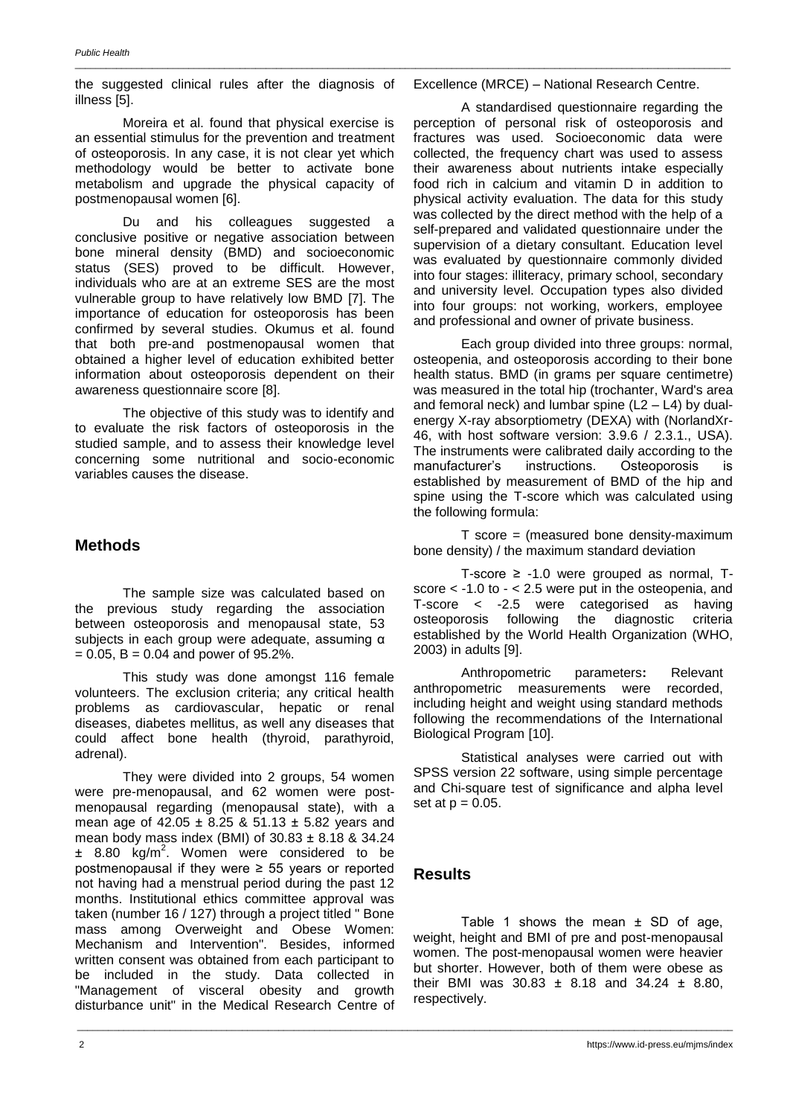the suggested clinical rules after the diagnosis of illness [5].

Moreira et al. found that physical exercise is an essential stimulus for the prevention and treatment of osteoporosis. In any case, it is not clear yet which methodology would be better to activate bone metabolism and upgrade the physical capacity of postmenopausal women [6].

Du and his colleagues suggested a conclusive positive or negative association between bone mineral density (BMD) and socioeconomic status (SES) proved to be difficult. However, individuals who are at an extreme SES are the most vulnerable group to have relatively low BMD [7]. The importance of education for osteoporosis has been confirmed by several studies. Okumus et al. found that both pre-and postmenopausal women that obtained a higher level of education exhibited better information about osteoporosis dependent on their awareness questionnaire score [8].

The objective of this study was to identify and to evaluate the risk factors of osteoporosis in the studied sample, and to assess their knowledge level concerning some nutritional and socio-economic variables causes the disease.

# **Methods**

The sample size was calculated based on the previous study regarding the association between osteoporosis and menopausal state, 53 subjects in each group were adequate, assuming α  $= 0.05$ , B  $= 0.04$  and power of 95.2%.

This study was done amongst 116 female volunteers. The exclusion criteria; any critical health problems as cardiovascular, hepatic or renal diseases, diabetes mellitus, as well any diseases that could affect bone health (thyroid, parathyroid, adrenal).

They were divided into 2 groups, 54 women were pre-menopausal, and 62 women were postmenopausal regarding (menopausal state), with a mean age of 42.05 ± 8.25 & 51.13 ± 5.82 years and mean body mass index (BMI) of 30.83 ± 8.18 & 34.24  $\pm$  8.80 kg/m<sup>2</sup>. Women were considered to be postmenopausal if they were ≥ 55 years or reported not having had a menstrual period during the past 12 months. Institutional ethics committee approval was taken (number 16 / 127) through a project titled " Bone mass among Overweight and Obese Women: Mechanism and Intervention". Besides, informed written consent was obtained from each participant to be included in the study. Data collected in "Management of visceral obesity and growth disturbance unit" in the Medical Research Centre of

#### Excellence (MRCE) – National Research Centre.

\_\_\_\_\_\_\_\_\_\_\_\_\_\_\_\_\_\_\_\_\_\_\_\_\_\_\_\_\_\_\_\_\_\_\_\_\_\_\_\_\_\_\_\_\_\_\_\_\_\_\_\_\_\_\_\_\_\_\_\_\_\_\_\_\_\_\_\_\_\_\_\_\_\_\_\_\_\_\_\_\_\_\_\_\_\_\_\_\_\_\_\_\_\_\_\_\_\_\_\_\_\_\_\_\_\_\_\_\_\_\_\_\_\_\_\_\_\_\_\_\_\_\_\_\_\_\_

A standardised questionnaire regarding the perception of personal risk of osteoporosis and fractures was used. Socioeconomic data were collected, the frequency chart was used to assess their awareness about nutrients intake especially food rich in calcium and vitamin D in addition to physical activity evaluation. The data for this study was collected by the direct method with the help of a self-prepared and validated questionnaire under the supervision of a dietary consultant. Education level was evaluated by questionnaire commonly divided into four stages: illiteracy, primary school, secondary and university level. Occupation types also divided into four groups: not working, workers, employee and professional and owner of private business.

Each group divided into three groups: normal, osteopenia, and osteoporosis according to their bone health status. BMD (in grams per square centimetre) was measured in the total hip (trochanter, Ward's area and femoral neck) and lumbar spine  $(L2 - L4)$  by dualenergy X-ray absorptiometry (DEXA) with (NorlandXr-46, with host software version: 3.9.6 / 2.3.1., USA). The instruments were calibrated daily according to the manufacturer's instructions. Osteoporosis is established by measurement of BMD of the hip and spine using the T-score which was calculated using the following formula:

 $T$  score = (measured bone density-maximum bone density) / the maximum standard deviation

T-score ≥ -1.0 were grouped as normal, Tscore  $<$  -1.0 to  $-$  < 2.5 were put in the osteopenia, and T-score < -2.5 were categorised as having osteoporosis following the diagnostic criteria established by the World Health Organization (WHO, 2003) in adults [9].

Anthropometric parameters**:** Relevant anthropometric measurements were recorded, including height and weight using standard methods following the recommendations of the International Biological Program [10].

Statistical analyses were carried out with SPSS version 22 software, using simple percentage and Chi-square test of significance and alpha level set at  $p = 0.05$ .

# **Results**

\_\_\_\_\_\_\_\_\_\_\_\_\_\_\_\_\_\_\_\_\_\_\_\_\_\_\_\_\_\_\_\_\_\_\_\_\_\_\_\_\_\_\_\_\_\_\_\_\_\_\_\_\_\_\_\_\_\_\_\_\_\_\_\_\_\_\_\_\_\_\_\_\_\_\_\_\_\_\_\_\_\_\_\_\_\_\_\_\_\_\_\_\_\_\_\_\_\_\_\_\_\_\_\_\_\_\_\_\_\_\_\_\_\_\_\_\_\_\_\_\_\_\_\_\_\_\_

Table 1 shows the mean  $\pm$  SD of age, weight, height and BMI of pre and post-menopausal women. The post-menopausal women were heavier but shorter. However, both of them were obese as their BMI was  $30.83 \pm 8.18$  and  $34.24 \pm 8.80$ , respectively.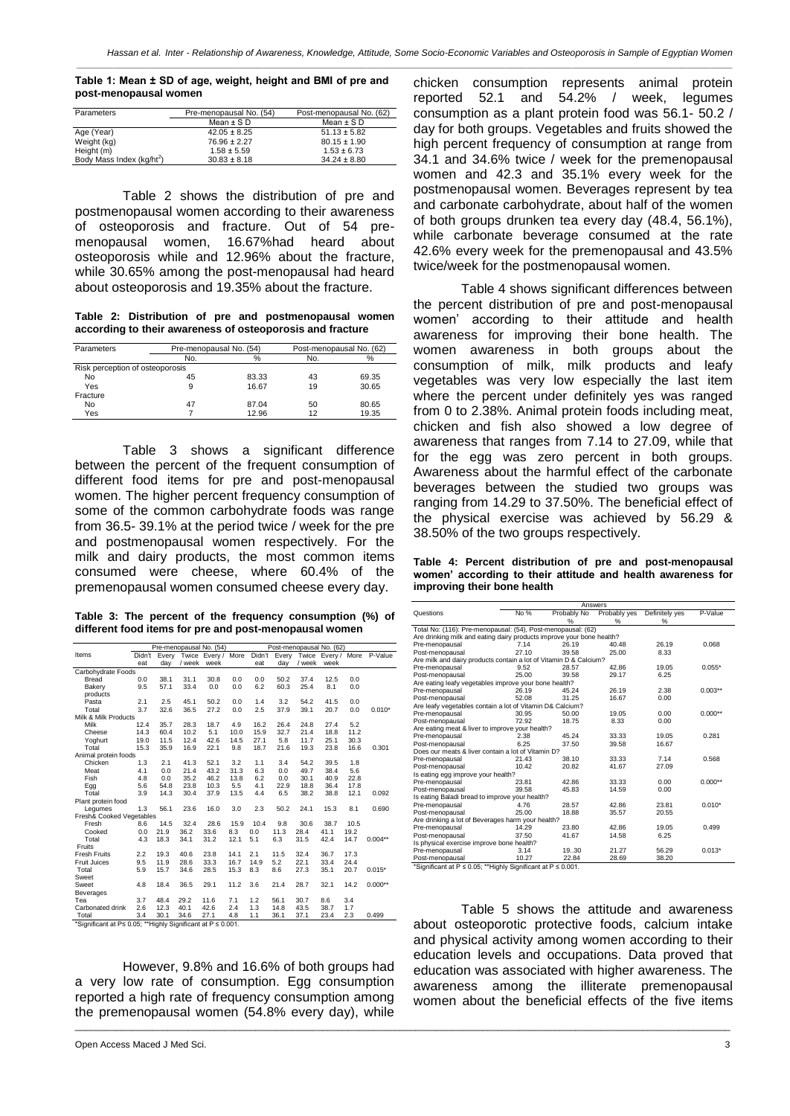*\_\_\_\_\_\_\_\_\_\_\_\_\_\_\_\_\_\_\_\_\_\_\_\_\_\_\_\_\_\_\_\_\_\_\_\_\_\_\_\_\_\_\_\_\_\_\_\_\_\_\_\_\_\_\_\_\_\_\_\_\_\_\_\_\_\_\_\_\_\_\_\_\_\_\_\_\_\_\_\_\_\_\_\_\_\_\_\_\_\_\_\_\_\_\_\_\_\_\_\_\_\_\_\_\_\_\_\_\_\_\_\_\_\_\_\_\_\_\_\_\_\_\_\_\_\_\_*

**Table 1: Mean ± SD of age, weight, height and BMI of pre and post-menopausal women**

| Parameters               | Pre-menopausal No. (54) | Post-menopausal No. (62) |
|--------------------------|-------------------------|--------------------------|
|                          | Mean $\pm$ SD           | Mean $\pm$ SD            |
| Age (Year)               | $42.05 \pm 8.25$        | $51.13 \pm 5.82$         |
| Weight (kg)              | $76.96 \pm 2.27$        | $80.15 \pm 1.90$         |
| Height (m)               | $1.58 \pm 5.59$         | $1.53 \pm 6.73$          |
| Body Mass Index (kg/ht2) | $30.83 \pm 8.18$        | $34.24 \pm 8.80$         |

Table 2 shows the distribution of pre and postmenopausal women according to their awareness of osteoporosis and fracture. Out of 54 premenopausal women, 16.67%had heard about osteoporosis while and 12.96% about the fracture, while 30.65% among the post-menopausal had heard about osteoporosis and 19.35% about the fracture.

**Table 2: Distribution of pre and postmenopausal women according to their awareness of osteoporosis and fracture**

| Parameters                      | Pre-menopausal No. (54) |       |     | Post-menopausal No. (62) |  |  |
|---------------------------------|-------------------------|-------|-----|--------------------------|--|--|
|                                 | No.                     | %     | No. | %                        |  |  |
| Risk perception of osteoporosis |                         |       |     |                          |  |  |
| No                              | 45                      | 83.33 | 43  | 69.35                    |  |  |
| Yes                             | 9                       | 16.67 | 19  | 30.65                    |  |  |
| Fracture                        |                         |       |     |                          |  |  |
| No                              | 47                      | 87.04 | 50  | 80.65                    |  |  |
| Yes                             |                         | 12.96 | 12  | 19.35                    |  |  |

Table 3 shows a significant difference between the percent of the frequent consumption of different food items for pre and post-menopausal women. The higher percent frequency consumption of some of the common carbohydrate foods was range from 36.5- 39.1% at the period twice / week for the pre and postmenopausal women respectively. For the milk and dairy products, the most common items consumed were cheese, where 60.4% of the premenopausal women consumed cheese every day.

**Table 3: The percent of the frequency consumption (%) of different food items for pre and post-menopausal women**

| Pre-menopausal No. (54)                                     |        |       |        |                    |      |        |       | Post-menopausal No. (62) |                    |      |           |
|-------------------------------------------------------------|--------|-------|--------|--------------------|------|--------|-------|--------------------------|--------------------|------|-----------|
| Items                                                       | Didn't | Every |        | Twice Every / More |      | Didn't | Every |                          | Twice Every / More |      | P-Value   |
|                                                             | eat    | day   | / week | week               |      | eat    | day   | / week                   | week               |      |           |
| Carbohydrate Foods                                          |        |       |        |                    |      |        |       |                          |                    |      |           |
| Bread                                                       | 0.0    | 38.1  | 31.1   | 30.8               | 0.0  | 0.0    | 50.2  | 37.4                     | 12.5               | 0.0  |           |
| Bakerv                                                      | 9.5    | 57.1  | 33.4   | 0.0                | 0.0  | 6.2    | 60.3  | 25.4                     | 8.1                | 0.0  |           |
| products                                                    |        |       |        |                    |      |        |       |                          |                    |      |           |
| Pasta                                                       | 2.1    | 2.5   | 45.1   | 50.2               | 0.0  | 1.4    | 3.2   | 54.2                     | 41.5               | 0.0  |           |
| Total                                                       | 3.7    | 32.6  | 36.5   | 27.2               | 0.0  | 2.5    | 37.9  | 39.1                     | 20.7               | 0.0  | $0.010*$  |
| Milk & Milk Products                                        |        |       |        |                    |      |        |       |                          |                    |      |           |
| Milk                                                        | 12.4   | 35.7  | 28.3   | 18.7               | 4.9  | 16.2   | 26.4  | 24.8                     | 27.4               | 5.2  |           |
| Cheese                                                      | 14.3   | 60.4  | 10.2   | 5.1                | 10.0 | 15.9   | 32.7  | 21.4                     | 18.8               | 11.2 |           |
| Yoghurt                                                     | 19.0   | 11.5  | 12.4   | 42.6               | 14.5 | 27.1   | 5.8   | 11.7                     | 25.1               | 30.3 |           |
| Total                                                       | 15.3   | 35.9  | 16.9   | 22.1               | 9.8  | 18.7   | 21.6  | 19.3                     | 23.8               | 16.6 | 0.301     |
| Animal protein foods                                        |        |       |        |                    |      |        |       |                          |                    |      |           |
| Chicken                                                     | 1.3    | 2.1   | 41.3   | 52.1               | 3.2  | 1.1    | 3.4   | 54.2                     | 39.5               | 1.8  |           |
| Meat                                                        | 4.1    | 0.0   | 21.4   | 43.2               | 31.3 | 6.3    | 0.0   | 49.7                     | 38.4               | 5.6  |           |
| Fish                                                        | 4.8    | 0.0   | 35.2   | 46.2               | 13.8 | 6.2    | 0.0   | 30.1                     | 40.9               | 22.8 |           |
| Egg                                                         | 5.6    | 54.8  | 23.8   | 10.3               | 5.5  | 4.1    | 22.9  | 18.8                     | 36.4               | 17.8 |           |
| Total                                                       | 3.9    | 14.3  | 30.4   | 37.9               | 13.5 | 4.4    | 6.5   | 38.2                     | 38.8               | 12.1 | 0.092     |
| Plant protein food                                          |        |       |        |                    |      |        |       |                          |                    |      |           |
| Legumes                                                     | 1.3    | 56.1  | 23.6   | 16.0               | 3.0  | 2.3    | 50.2  | 24.1                     | 15.3               | 8.1  | 0.690     |
| Fresh& Cooked Vegetables                                    |        |       |        |                    |      |        |       |                          |                    |      |           |
| Fresh                                                       | 8.6    | 14.5  | 32.4   | 28.6               | 15.9 | 10.4   | 9.8   | 30.6                     | 38.7               | 10.5 |           |
| Cooked                                                      | 0.0    | 21.9  | 36.2   | 33.6               | 8.3  | 0.0    | 11.3  | 28.4                     | 41.1               | 19.2 |           |
| Total                                                       | 4.3    | 18.3  | 34.1   | 31.2               | 12.1 | 5.1    | 6.3   | 31.5                     | 42.4               | 14.7 | $0.004**$ |
| Fruits                                                      |        |       |        |                    |      |        |       |                          |                    |      |           |
| <b>Fresh Fruits</b>                                         | 2.2    | 19.3  | 40.6   | 23.8               | 14.1 | 2.1    | 11.5  | 32.4                     | 36.7               | 17.3 |           |
| <b>Fruit Juices</b>                                         | 9.5    | 11.9  | 28.6   | 33.3               | 16.7 | 14.9   | 5.2   | 22.1                     | 33.4               | 24.4 |           |
| Total                                                       | 5.9    | 15.7  | 34.6   | 28.5               | 15.3 | 8.3    | 8.6   | 27.3                     | 35.1               | 20.7 | $0.015*$  |
| Sweet                                                       |        |       |        |                    |      |        |       |                          |                    |      |           |
| Sweet                                                       | 4.8    | 18.4  | 36.5   | 29.1               | 11.2 | 3.6    | 21.4  | 28.7                     | 32.1               | 14.2 | $0.000**$ |
| Beverages                                                   |        |       |        |                    |      |        |       |                          |                    |      |           |
| Tea                                                         | 3.7    | 48.4  | 29.2   | 11.6               | 7.1  | 1.2    | 56.1  | 30.7                     | 8.6                | 3.4  |           |
| Carbonated drink                                            | 2.6    | 12.3  | 40.1   | 42.6               | 2.4  | 1.3    | 14.8  | 43.5                     | 38.7               | 1.7  |           |
| Total                                                       | 3.4    | 30.1  | 34.6   | 27.1               | 4.8  | 1.1    | 36.1  | 37.1                     | 23.4               | 2.3  | 0.499     |
| *Significant at P≤ 0.05: **Highly Significant at P ≤ 0.001. |        |       |        |                    |      |        |       |                          |                    |      |           |

However, 9.8% and 16.6% of both groups had a very low rate of consumption. Egg consumption reported a high rate of frequency consumption among the premenopausal women (54.8% every day), while

\_\_\_\_\_\_\_\_\_\_\_\_\_\_\_\_\_\_\_\_\_\_\_\_\_\_\_\_\_\_\_\_\_\_\_\_\_\_\_\_\_\_\_\_\_\_\_\_\_\_\_\_\_\_\_\_\_\_\_\_\_\_\_\_\_\_\_\_\_\_\_\_\_\_\_\_\_\_\_\_\_\_\_\_\_\_\_\_\_\_\_\_\_\_\_\_\_\_\_\_\_\_\_\_\_\_\_\_\_\_\_\_\_\_\_\_\_\_\_\_\_\_\_\_\_\_\_

chicken consumption represents animal protein reported 52.1 and 54.2% / week, legumes consumption as a plant protein food was 56.1- 50.2 / day for both groups. Vegetables and fruits showed the high percent frequency of consumption at range from 34.1 and 34.6% twice / week for the premenopausal women and 42.3 and 35.1% every week for the postmenopausal women. Beverages represent by tea and carbonate carbohydrate, about half of the women of both groups drunken tea every day (48.4, 56.1%), while carbonate beverage consumed at the rate 42.6% every week for the premenopausal and 43.5% twice/week for the postmenopausal women.

Table 4 shows significant differences between the percent distribution of pre and post-menopausal women' according to their attitude and health awareness for improving their bone health. The women awareness in both groups about the consumption of milk, milk products and leafy vegetables was very low especially the last item where the percent under definitely yes was ranged from 0 to 2.38%. Animal protein foods including meat, chicken and fish also showed a low degree of awareness that ranges from 7.14 to 27.09, while that for the egg was zero percent in both groups. Awareness about the harmful effect of the carbonate beverages between the studied two groups was ranging from 14.29 to 37.50%. The beneficial effect of the physical exercise was achieved by 56.29 & 38.50% of the two groups respectively.

**Table 4: Percent distribution of pre and post-menopausal women' according to their attitude and health awareness for improving their bone health**

|                                                                       |       | Answers     |              |                |           |
|-----------------------------------------------------------------------|-------|-------------|--------------|----------------|-----------|
| Questions                                                             | No %  | Probably No | Probably yes | Definitely yes | P-Value   |
|                                                                       |       | %           | %            | %              |           |
| Total No: (116): Pre-menopausal: (54), Post-menopausal: (62)          |       |             |              |                |           |
| Are drinking milk and eating dairy products improve your bone health? |       |             |              |                |           |
| Pre-menopausal                                                        | 7.14  | 26.19       | 40.48        | 26.19          | 0.068     |
| Post-menopausal                                                       | 27.10 | 39.58       | 25.00        | 8.33           |           |
| Are milk and dairy products contain a lot of Vitamin D & Calcium?     |       |             |              |                |           |
| Pre-menopausal                                                        | 9.52  | 28.57       | 42.86        | 19.05          | $0.055*$  |
| Post-menopausal                                                       | 25.00 | 39.58       | 29.17        | 6.25           |           |
| Are eating leafy vegetables improve your bone health?                 |       |             |              |                |           |
| Pre-menopausal                                                        | 26.19 | 45.24       | 26.19        | 2.38           | $0.003**$ |
| Post-menopausal                                                       | 52.08 | 31.25       | 16.67        | 0.00           |           |
| Are leafy vegetables contain a lot of Vitamin D& Calcium?             |       |             |              |                |           |
| Pre-menopausal                                                        | 30.95 | 50.00       | 19.05        | 0.00           | $0.000**$ |
| Post-menopausal                                                       | 72.92 | 18.75       | 8.33         | 0.00           |           |
| Are eating meat & liver to improve your health?                       |       |             |              |                |           |
| Pre-menopausal                                                        | 2.38  | 45.24       | 33.33        | 19.05          | 0.281     |
| Post-menopausal                                                       | 6.25  | 37.50       | 39.58        | 16.67          |           |
| Does our meats & liver contain a lot of Vitamin D?                    |       |             |              |                |           |
| Pre-menopausal                                                        | 21.43 | 38.10       | 33.33        | 7.14           | 0.568     |
| Post-menopausal                                                       | 10.42 | 20.82       | 41.67        | 27.09          |           |
| Is eating egg improve your health?                                    |       |             |              |                |           |
| Pre-menopausal                                                        | 23.81 | 42.86       | 33.33        | 0.00           | $0.000**$ |
| Post-menopausal                                                       | 39.58 | 45.83       | 14.59        | 0.00           |           |
| Is eating Baladi bread to improve your health?                        |       |             |              |                |           |
| Pre-menopausal                                                        | 4.76  | 28.57       | 42.86        | 23.81          | $0.010*$  |
| Post-menopausal                                                       | 25.00 | 18.88       | 35.57        | 20.55          |           |
| Are drinking a lot of Beverages harm your health?                     |       |             |              |                |           |
| Pre-menopausal                                                        | 14.29 | 23.80       | 42.86        | 19.05          | 0.499     |
| Post-menopausal                                                       | 37.50 | 41.67       | 14.58        | 6.25           |           |
| Is physical exercise improve bone health?                             |       |             |              |                |           |
| Pre-menopausal                                                        | 3.14  | 19.30       | 21.27        | 56.29          | $0.013*$  |
| Post-menopausal                                                       | 10.27 | 22.84       | 28.69        | 38.20          |           |
| *Significant at P ≤ 0.05; **Highly Significant at P ≤ 0.001.          |       |             |              |                |           |

Table 5 shows the attitude and awareness about osteoporotic protective foods, calcium intake and physical activity among women according to their education levels and occupations. Data proved that education was associated with higher awareness. The awareness among the illiterate premenopausal women about the beneficial effects of the five items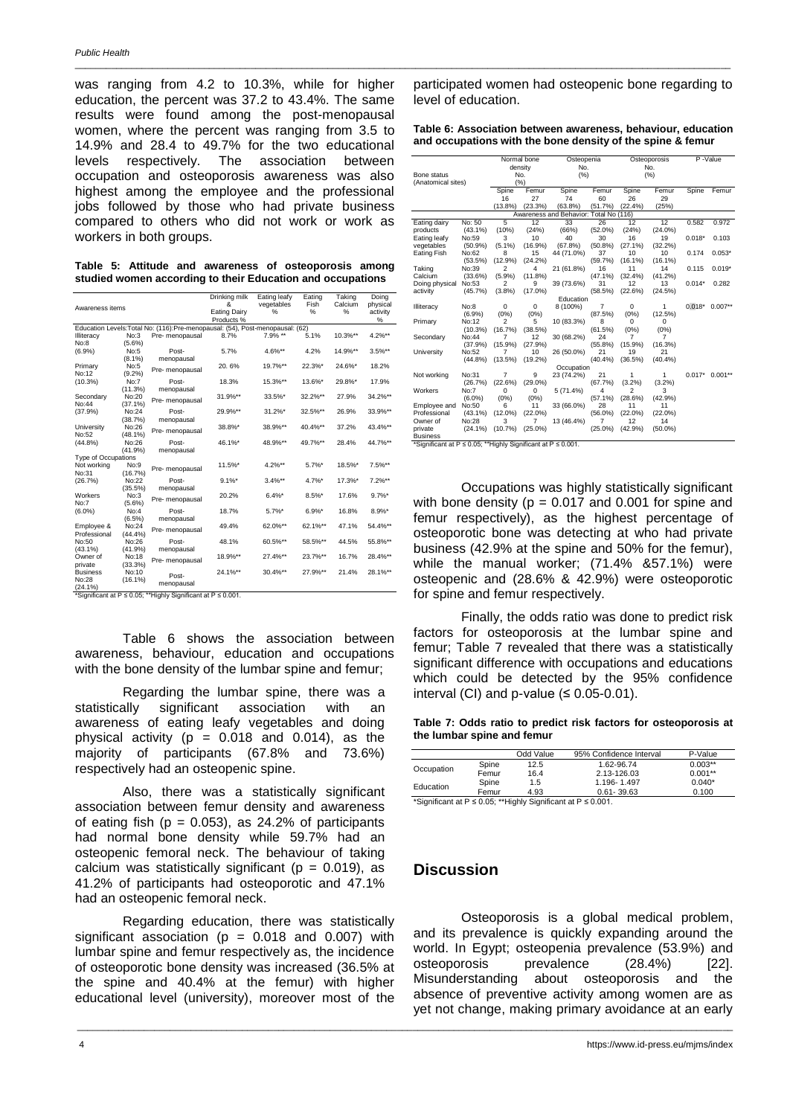was ranging from 4.2 to 10.3%, while for higher education, the percent was 37.2 to 43.4%. The same results were found among the post-menopausal women, where the percent was ranging from 3.5 to 14.9% and 28.4 to 49.7% for the two educational levels respectively. The association between occupation and osteoporosis awareness was also highest among the employee and the professional jobs followed by those who had private business compared to others who did not work or work as workers in both groups.

|  |  |  | Table 5: Attitude and awareness of osteoporosis among      |  |
|--|--|--|------------------------------------------------------------|--|
|  |  |  | studied women according to their Education and occupations |  |

|                            |                  |                                                                                | Drinking milk       | Eating leafy | Eating        | Taking     | Doing     |
|----------------------------|------------------|--------------------------------------------------------------------------------|---------------------|--------------|---------------|------------|-----------|
| Awareness items            |                  |                                                                                | &                   | vegetables   | Fish          | Calcium    | physical  |
|                            |                  |                                                                                | <b>Eating Dairy</b> | %            | $\frac{1}{2}$ | %          | activity  |
|                            |                  |                                                                                | Products %          |              |               |            | %         |
|                            |                  | Education Levels: Total No: (116): Pre-menopausal: (54), Post-menopausal: (62) |                     |              |               |            |           |
| Illiteracy                 | No:3             | Pre-menopausal                                                                 | 8.7%                | 7.9% **      | 5.1%          | 10.3%**    | 4.2%**    |
| No:8                       | $(5.6\%)$        |                                                                                |                     |              |               |            |           |
| (6.9%)                     | No:5             | Post-                                                                          | 5.7%                | 4.6%**       | 4.2%          | 14.9%**    | $3.5\%**$ |
|                            | $(8.1\%)$        | menopausal                                                                     |                     |              |               |            |           |
| Primary                    | No:5             | Pre- menopausal                                                                | 20.6%               | 19.7%**      | $22.3\%$ *    | 24.6%*     | 18.2%     |
| No:12                      | $(9.2\%)$        |                                                                                |                     |              |               |            |           |
| (10.3%)                    | No:7             | Post-                                                                          | 18.3%               | 15.3%**      | 13.6%*        | 29.8%*     | 17.9%     |
|                            | (11.3%)          | menopausal                                                                     |                     |              |               |            |           |
| Secondary                  | No:20            | Pre- menopausal                                                                | 31.9%**             | 33.5%*       | 32.2%**       | 27.9%      | 34.2%**   |
| No:44                      | (37.1%)          |                                                                                |                     |              |               |            |           |
| (37.9%)                    | No:24            | Post-                                                                          | 29.9%**             | $31.2\%$ *   | 32.5%**       | 26.9%      | 33.9%**   |
|                            | (38.7%)          | menopausal                                                                     |                     |              |               |            |           |
| University                 | No:26            | Pre- menopausal                                                                | 38.8%*              | 38.9%**      | 40.4%**       | 37.2%      | 43.4%**   |
| No:52                      | $(48.1\%)$       |                                                                                |                     |              |               |            |           |
| $(44.8\%)$                 | No:26            | Post-                                                                          | 46.1%*              | 48.9%**      | 49.7%**       | 28.4%      | 44.7%**   |
|                            | (41.9%)          | menopausal                                                                     |                     |              |               |            |           |
| <b>Type of Occupations</b> |                  |                                                                                |                     |              |               |            |           |
| Not working                | No:9             | Pre- menopausal                                                                | 11.5%*              | $4.2\%**$    | $5.7\%$ *     | 18.5%*     | $7.5\%**$ |
| No:31                      | (16.7%)          |                                                                                |                     |              |               |            |           |
| (26.7%)                    | No:22            | Post-                                                                          | $9.1\%$ *           | $3.4\%**$    | $4.7\%$ *     | $17.3\%$ * | $7.2\%**$ |
|                            | (35.5%)          | menopausal                                                                     |                     |              |               |            |           |
| Workers                    | No:3             | Pre-menopausal                                                                 | 20.2%               | $6.4%$ *     | $8.5\%$ *     | 17.6%      | $9.7\%$ * |
| No:7                       | $(5.6\%)$        |                                                                                |                     |              |               |            |           |
| $(6.0\%)$                  | No:4             | Post-                                                                          | 18.7%               | $5.7\%$ *    | $6.9%$ *      | 16.8%      | 8.9%*     |
|                            | $(6.5\%)$        | menopausal                                                                     |                     |              |               |            |           |
| Employee &                 | No:24            | Pre- menopausal                                                                | 49.4%               | 62.0%**      | 62.1%**       | 47.1%      | 54.4%**   |
| Professional<br>No:50      | (44.4%)<br>No:26 |                                                                                | 48.1%               |              | 58.5%**       | 44.5%      | 55.8%**   |
|                            |                  | Post-                                                                          |                     | 60.5%**      |               |            |           |
| $(43.1\%)$                 | $(41.9\%)$       | menopausal                                                                     | 18.9%**             | 27.4%**      | 23.7%**       | 16.7%      | 28.4%**   |
| Owner of                   | No:18            | Pre- menopausal                                                                |                     |              |               |            |           |
| private                    | (33.3%)          |                                                                                |                     |              |               |            |           |
| <b>Business</b>            | No:10            | Post-                                                                          | 24.1%**             | 30.4%**      | 27.9%**       | 21.4%      | 28.1%**   |
| No:28                      | (16.1%)          | menopausal                                                                     |                     |              |               |            |           |
| $(24.1\%)$                 |                  |                                                                                |                     |              |               |            |           |

(24.1%) \*Significant at P ≤ 0.05; \*\*Highly Significant at P ≤ 0.001.

Table 6 shows the association between awareness, behaviour, education and occupations with the bone density of the lumbar spine and femur;

Regarding the lumbar spine, there was a statistically significant association with an awareness of eating leafy vegetables and doing physical activity ( $p = 0.018$  and 0.014), as the majority of participants (67.8% and 73.6%) respectively had an osteopenic spine.

Also, there was a statistically significant association between femur density and awareness of eating fish ( $p = 0.053$ ), as 24.2% of participants had normal bone density while 59.7% had an osteopenic femoral neck. The behaviour of taking calcium was statistically significant ( $p = 0.019$ ), as 41.2% of participants had osteoporotic and 47.1% had an osteopenic femoral neck.

Regarding education, there was statistically significant association ( $p = 0.018$  and 0.007) with lumbar spine and femur respectively as, the incidence of osteoporotic bone density was increased (36.5% at the spine and 40.4% at the femur) with higher educational level (university), moreover most of the

participated women had osteopenic bone regarding to level of education.

**Table 6: Association between awareness, behaviour, education and occupations with the bone density of the spine & femur**

|                                                              |            |                         | Normal bone | Osteopenia                             |                |                         | Osteoporosis   |          | P-Value   |
|--------------------------------------------------------------|------------|-------------------------|-------------|----------------------------------------|----------------|-------------------------|----------------|----------|-----------|
|                                                              |            |                         | density     | No.                                    |                |                         | No.            |          |           |
| Bone status                                                  |            |                         | No.         | (%)                                    |                |                         | (%)            |          |           |
| (Anatomical sites)                                           |            |                         | (%)         |                                        |                |                         |                |          |           |
|                                                              |            | Spine                   | Femur<br>27 | Spine<br>74                            | Femur<br>60    | Spine                   | Femur<br>29    | Spine    | Femur     |
|                                                              |            | 16<br>$(13.8\%)$        |             | $(63.8\%)$                             |                | 26<br>(22.4%)           | (25%)          |          |           |
|                                                              |            |                         | (23.3%)     | Awareness and Behavior: Total No (116) | (51.7%)        |                         |                |          |           |
| Eating dairy                                                 | No: 50     | 5                       | 12          | 33                                     | 26             | 12                      | 12             | 0.582    | 0.972     |
| products                                                     | $(43.1\%)$ | (10%)                   | (24%)       | (66%)                                  | $(52.0\%)$     | (24%)                   | $(24.0\%)$     |          |           |
| Eating leafy                                                 | No:59      | 3                       | 10          | 40                                     | 30             | 16                      | 19             | $0.018*$ | 0.103     |
| vegetables                                                   | $(50.9\%)$ | $(5.1\%)$               | $(16.9\%)$  | (67.8%)                                | $(50.8\%)$     | (27.1%)                 | (32.2%)        |          |           |
| Eating Fish                                                  | No:62      | 8                       | 15          | 44 (71.0%)                             | 37             | 10                      | 10             | 0.174    | $0.053*$  |
|                                                              | (53.5%)    | $(12.9\%)$              | (24.2%)     |                                        | (59.7%)        | $(16.1\%)$              | (16.1%)        |          |           |
| Taking                                                       | No:39      | $\overline{\mathbf{c}}$ | 4           | 21 (61.8%)                             | 16             | 11                      | 14             | 0.115    | $0.019*$  |
| Calcium                                                      | (33.6%)    | (5.9%)                  | (11.8%)     |                                        | (47.1%)        | (32.4%)                 | (41.2%)        |          |           |
| Doing physical                                               | No:53      | $\overline{\mathbf{c}}$ | 9           | 39 (73.6%)                             | 31             | 12                      | 13             | $0.014*$ | 0.282     |
| activity                                                     | (45.7%)    | $(3.8\%)$               | $(17.0\%)$  |                                        | (58.5%)        | (22.6%)                 | (24.5%)        |          |           |
|                                                              |            |                         |             | Education                              |                |                         |                |          |           |
| Illiteracy                                                   | No:8       | $\Omega$                | $\Omega$    | 8 (100%)                               | $\overline{7}$ | $\Omega$                | 1              | $0.018*$ | $0.007**$ |
|                                                              | (6.9%)     | (0%)                    | (0%)        |                                        | (87.5%)        | (0%)                    | (12.5%)        |          |           |
| Primary                                                      | No:12      | $\overline{\mathbf{c}}$ | 5           | 10 (83.3%)                             | 8              | 0                       | 0              |          |           |
|                                                              | $(10.3\%)$ | (16.7%)                 | (38.5%)     |                                        | (61.5%)        | (0%)                    | (0%)           |          |           |
| Secondary                                                    | No:44      | 7                       | 12          | 30 (68.2%)                             | 24             | 7                       | $\overline{7}$ |          |           |
|                                                              | (37.9%)    | $(15.9\%)$              | (27.9%)     |                                        | (55.8%)        | $(15.9\%)$              | (16.3%)        |          |           |
| University                                                   | No:52      | 7                       | 10          | 26 (50.0%)                             | 21             | 19                      | 21             |          |           |
|                                                              | $(44.8\%)$ | (13.5%)                 | $(19.2\%)$  |                                        | (40.4%         | (36.5%)                 | (40.4%         |          |           |
|                                                              |            |                         |             | Occupation                             |                |                         |                |          |           |
| Not working                                                  | No:31      | $\overline{7}$          | 9           | 23 (74.2%)                             | 21             | 1                       | 1              | $0.017*$ | $0.001**$ |
|                                                              | (26.7%)    | (22.6%)                 | $(29.0\%)$  |                                        | (67.7%)        | (3.2%)                  | $(3.2\%)$      |          |           |
| Workers                                                      | No:7       | $\Omega$                | 0           | 5 (71.4%)                              | 4              | $\overline{\mathbf{c}}$ | 3              |          |           |
|                                                              | $(6.0\%)$  | (0%)                    | (0%)        |                                        | $(57.1\%)$     | (28.6%)                 | (42.9%)        |          |           |
| Employee and                                                 | No:50      | 6                       | 11          | 33 (66.0%)                             | 28             | 11                      | 11             |          |           |
| Professional                                                 | $(43.1\%)$ | $(12.0\%)$              | $(22.0\%)$  |                                        | $(56.0\%)$     | $(22.0\%)$              | $(22.0\%)$     |          |           |
| Owner of                                                     | No:28      | 3                       | 7           | 13 (46.4%)                             | $\overline{7}$ | 12                      | 14             |          |           |
| private                                                      | $(24.1\%)$ | (10.7%                  | $(25.0\%)$  |                                        | $(25.0\%)$     | (42.9%)                 | $(50.0\%)$     |          |           |
| <b>Business</b>                                              |            |                         |             |                                        |                |                         |                |          |           |
| "Significant at P ≤ 0.05; "*Highly Significant at P ≤ 0.001. |            |                         |             |                                        |                |                         |                |          |           |

\_\_\_\_\_\_\_\_\_\_\_\_\_\_\_\_\_\_\_\_\_\_\_\_\_\_\_\_\_\_\_\_\_\_\_\_\_\_\_\_\_\_\_\_\_\_\_\_\_\_\_\_\_\_\_\_\_\_\_\_\_\_\_\_\_\_\_\_\_\_\_\_\_\_\_\_\_\_\_\_\_\_\_\_\_\_\_\_\_\_\_\_\_\_\_\_\_\_\_\_\_\_\_\_\_\_\_\_\_\_\_\_\_\_\_\_\_\_\_\_\_\_\_\_\_\_\_

Occupations was highly statistically significant with bone density ( $p = 0.017$  and 0.001 for spine and femur respectively), as the highest percentage of osteoporotic bone was detecting at who had private business (42.9% at the spine and 50% for the femur), while the manual worker; (71.4% &57.1%) were osteopenic and (28.6% & 42.9%) were osteoporotic for spine and femur respectively.

Finally, the odds ratio was done to predict risk factors for osteoporosis at the lumbar spine and femur; Table 7 revealed that there was a statistically significant difference with occupations and educations which could be detected by the 95% confidence interval (CI) and p-value  $( \leq 0.05 - 0.01)$ .

**Table 7: Odds ratio to predict risk factors for osteoporosis at the lumbar spine and femur**

|            |       | Odd Value | 95% Confidence Interval | P-Value   |
|------------|-------|-----------|-------------------------|-----------|
|            | Spine | 12.5      | 1.62-96.74              | $0.003**$ |
| Occupation | Femur | 16.4      | 2.13-126.03             | $0.001**$ |
| Education  | Spine | 1.5       | 1.196-1.497             | $0.040*$  |
|            | Femur | 4.93      | $0.61 - 39.63$          | 0.100     |

\*Significant at P ≤ 0.05; \*\*Highly Significant at P ≤ 0.001.

# **Discussion**

\_\_\_\_\_\_\_\_\_\_\_\_\_\_\_\_\_\_\_\_\_\_\_\_\_\_\_\_\_\_\_\_\_\_\_\_\_\_\_\_\_\_\_\_\_\_\_\_\_\_\_\_\_\_\_\_\_\_\_\_\_\_\_\_\_\_\_\_\_\_\_\_\_\_\_\_\_\_\_\_\_\_\_\_\_\_\_\_\_\_\_\_\_\_\_\_\_\_\_\_\_\_\_\_\_\_\_\_\_\_\_\_\_\_\_\_\_\_\_\_\_\_\_\_\_\_\_

Osteoporosis is a global medical problem, and its prevalence is quickly expanding around the world. In Egypt; osteopenia prevalence (53.9%) and osteoporosis prevalence (28.4%) [22]. Misunderstanding about osteoporosis and the absence of preventive activity among women are as yet not change, making primary avoidance at an early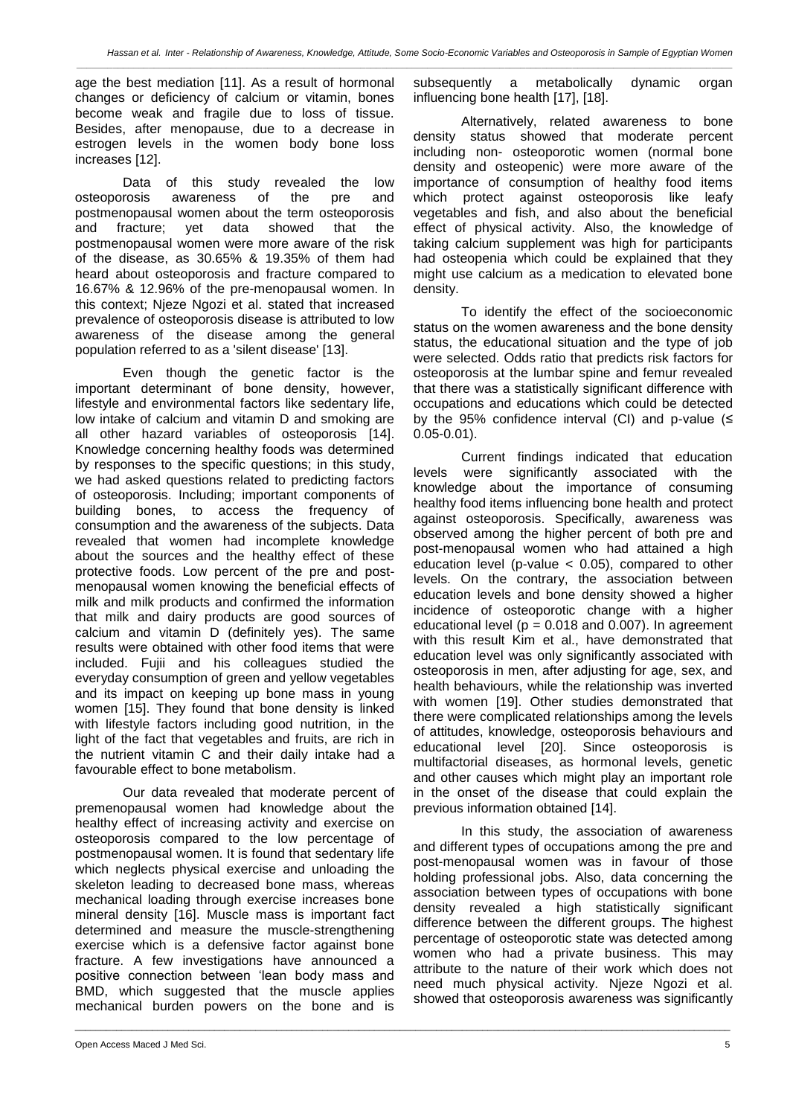*\_\_\_\_\_\_\_\_\_\_\_\_\_\_\_\_\_\_\_\_\_\_\_\_\_\_\_\_\_\_\_\_\_\_\_\_\_\_\_\_\_\_\_\_\_\_\_\_\_\_\_\_\_\_\_\_\_\_\_\_\_\_\_\_\_\_\_\_\_\_\_\_\_\_\_\_\_\_\_\_\_\_\_\_\_\_\_\_\_\_\_\_\_\_\_\_\_\_\_\_\_\_\_\_\_\_\_\_\_\_\_\_\_\_\_\_\_\_\_\_\_\_\_\_\_\_\_*

age the best mediation [11]. As a result of hormonal changes or deficiency of calcium or vitamin, bones become weak and fragile due to loss of tissue. Besides, after menopause, due to a decrease in estrogen levels in the women body bone loss increases [12].

Data of this study revealed the low osteoporosis awareness of the pre and postmenopausal women about the term osteoporosis and fracture; yet data showed that the postmenopausal women were more aware of the risk of the disease, as 30.65% & 19.35% of them had heard about osteoporosis and fracture compared to 16.67% & 12.96% of the pre-menopausal women. In this context; Njeze Ngozi et al. stated that increased prevalence of osteoporosis disease is attributed to low awareness of the disease among the general population referred to as a 'silent disease' [13].

Even though the genetic factor is the important determinant of bone density, however, lifestyle and environmental factors like sedentary life, low intake of calcium and vitamin D and smoking are all other hazard variables of osteoporosis [14]. Knowledge concerning healthy foods was determined by responses to the specific questions; in this study, we had asked questions related to predicting factors of osteoporosis. Including; important components of building bones, to access the frequency of consumption and the awareness of the subjects. Data revealed that women had incomplete knowledge about the sources and the healthy effect of these protective foods. Low percent of the pre and postmenopausal women knowing the beneficial effects of milk and milk products and confirmed the information that milk and dairy products are good sources of calcium and vitamin D (definitely yes). The same results were obtained with other food items that were included. Fujii and his colleagues studied the everyday consumption of green and yellow vegetables and its impact on keeping up bone mass in young women [15]. They found that bone density is linked with lifestyle factors including good nutrition, in the light of the fact that vegetables and fruits, are rich in the nutrient vitamin C and their daily intake had a favourable effect to bone metabolism.

Our data revealed that moderate percent of premenopausal women had knowledge about the healthy effect of increasing activity and exercise on osteoporosis compared to the low percentage of postmenopausal women. It is found that sedentary life which neglects physical exercise and unloading the skeleton leading to decreased bone mass, whereas mechanical loading through exercise increases bone mineral density [16]. Muscle mass is important fact determined and measure the muscle-strengthening exercise which is a defensive factor against bone fracture. A few investigations have announced a positive connection between 'lean body mass and BMD, which suggested that the muscle applies mechanical burden powers on the bone and is

\_\_\_\_\_\_\_\_\_\_\_\_\_\_\_\_\_\_\_\_\_\_\_\_\_\_\_\_\_\_\_\_\_\_\_\_\_\_\_\_\_\_\_\_\_\_\_\_\_\_\_\_\_\_\_\_\_\_\_\_\_\_\_\_\_\_\_\_\_\_\_\_\_\_\_\_\_\_\_\_\_\_\_\_\_\_\_\_\_\_\_\_\_\_\_\_\_\_\_\_\_\_\_\_\_\_\_\_\_\_\_\_\_\_\_\_\_\_\_\_\_\_\_\_\_\_\_

subsequently a metabolically dynamic organ influencing bone health [17], [18].

Alternatively, related awareness to bone density status showed that moderate percent including non- osteoporotic women (normal bone density and osteopenic) were more aware of the importance of consumption of healthy food items which protect against osteoporosis like leafy vegetables and fish, and also about the beneficial effect of physical activity. Also, the knowledge of taking calcium supplement was high for participants had osteopenia which could be explained that they might use calcium as a medication to elevated bone density.

To identify the effect of the socioeconomic status on the women awareness and the bone density status, the educational situation and the type of job were selected. Odds ratio that predicts risk factors for osteoporosis at the lumbar spine and femur revealed that there was a statistically significant difference with occupations and educations which could be detected by the 95% confidence interval (CI) and p-value  $(≤$ 0.05-0.01).

Current findings indicated that education levels were significantly associated with the knowledge about the importance of consuming healthy food items influencing bone health and protect against osteoporosis. Specifically, awareness was observed among the higher percent of both pre and post-menopausal women who had attained a high education level (p-value  $<$  0.05), compared to other levels. On the contrary, the association between education levels and bone density showed a higher incidence of osteoporotic change with a higher educational level ( $p = 0.018$  and 0.007). In agreement with this result Kim et al., have demonstrated that education level was only significantly associated with osteoporosis in men, after adjusting for age, sex, and health behaviours, while the relationship was inverted with women [19]. Other studies demonstrated that there were complicated relationships among the levels of attitudes, knowledge, osteoporosis behaviours and educational level [20]. Since osteoporosis is multifactorial diseases, as hormonal levels, genetic and other causes which might play an important role in the onset of the disease that could explain the previous information obtained [14].

In this study, the association of awareness and different types of occupations among the pre and post-menopausal women was in favour of those holding professional jobs. Also, data concerning the association between types of occupations with bone density revealed a high statistically significant difference between the different groups. The highest percentage of osteoporotic state was detected among women who had a private business. This may attribute to the nature of their work which does not need much physical activity. Njeze Ngozi et al. showed that osteoporosis awareness was significantly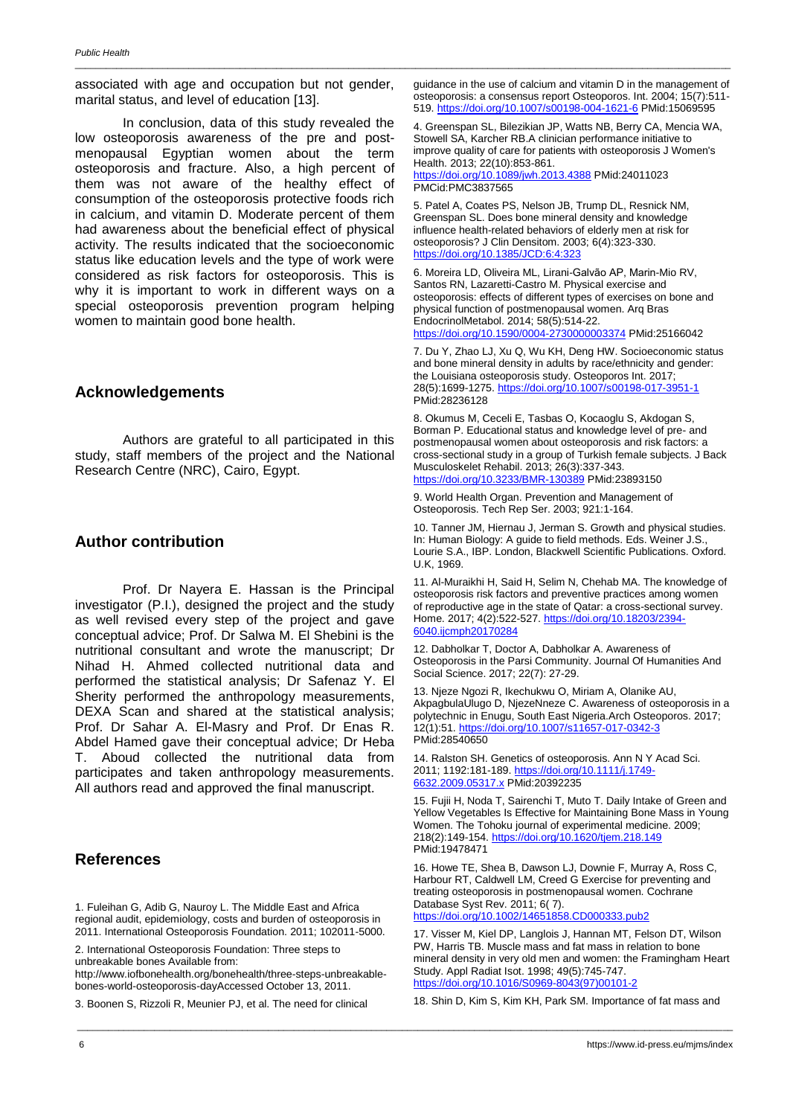associated with age and occupation but not gender, marital status, and level of education [13].

\_\_\_\_\_\_\_\_\_\_\_\_\_\_\_\_\_\_\_\_\_\_\_\_\_\_\_\_\_\_\_\_\_\_\_\_\_\_\_\_\_\_\_\_\_\_\_\_\_\_\_\_\_\_\_\_\_\_\_\_\_\_\_\_\_\_\_\_\_\_\_\_\_\_\_\_\_\_\_\_\_\_\_\_\_\_\_\_\_\_\_\_\_\_\_\_\_\_\_\_\_\_\_\_\_\_\_\_\_\_\_\_\_\_\_\_\_\_\_\_\_\_\_\_\_\_\_

In conclusion, data of this study revealed the low osteoporosis awareness of the pre and postmenopausal Egyptian women about the term osteoporosis and fracture. Also, a high percent of them was not aware of the healthy effect of consumption of the osteoporosis protective foods rich in calcium, and vitamin D. Moderate percent of them had awareness about the beneficial effect of physical activity. The results indicated that the socioeconomic status like education levels and the type of work were considered as risk factors for osteoporosis. This is why it is important to work in different ways on a special osteoporosis prevention program helping women to maintain good bone health.

### **Acknowledgements**

Authors are grateful to all participated in this study, staff members of the project and the National Research Centre (NRC), Cairo, Egypt.

### **Author contribution**

Prof. Dr Nayera E. Hassan is the Principal investigator (P.I.), designed the project and the study as well revised every step of the project and gave conceptual advice; Prof. Dr Salwa M. El Shebini is the nutritional consultant and wrote the manuscript; Dr Nihad H. Ahmed collected nutritional data and performed the statistical analysis; Dr Safenaz Y. El Sherity performed the anthropology measurements, DEXA Scan and shared at the statistical analysis; Prof. Dr Sahar A. El-Masry and Prof. Dr Enas R. Abdel Hamed gave their conceptual advice; Dr Heba T. Aboud collected the nutritional data from participates and taken anthropology measurements. All authors read and approved the final manuscript.

# **References**

1. Fuleihan G, Adib G, Nauroy L. The Middle East and Africa regional audit, epidemiology, costs and burden of osteoporosis in 2011. International Osteoporosis Foundation. 2011; 102011-5000.

2. International Osteoporosis Foundation: Three steps to unbreakable bones Available from:

http://www.iofbonehealth.org/bonehealth/three-steps-unbreakablebones-world-osteoporosis-dayAccessed October 13, 2011.

3. Boonen S, Rizzoli R, Meunier PJ, et al. The need for clinical

guidance in the use of calcium and vitamin D in the management of osteoporosis: a consensus report Osteoporos. Int. 2004; 15(7):511- 519. <https://doi.org/10.1007/s00198-004-1621-6> PMid:15069595

4. Greenspan SL, Bilezikian JP, Watts NB, Berry CA, Mencia WA, Stowell SA, Karcher RB.A clinician performance initiative to improve quality of care for patients with osteoporosis J Women's Health. 2013; 22(10):853-861. <https://doi.org/10.1089/jwh.2013.4388> PMid:24011023 PMCid:PMC3837565

5. Patel A, Coates PS, Nelson JB, Trump DL, Resnick NM, Greenspan SL. Does bone mineral density and knowledge influence health-related behaviors of elderly men at risk for osteoporosis? J Clin Densitom. 2003; 6(4):323-330. <https://doi.org/10.1385/JCD:6:4:323>

6. Moreira LD, Oliveira ML, Lirani-Galvão AP, Marin-Mio RV, Santos RN, Lazaretti-Castro M. Physical exercise and osteoporosis: effects of different types of exercises on bone and physical function of postmenopausal women. Arq Bras EndocrinolMetabol. 2014; 58(5):514-22. <https://doi.org/10.1590/0004-2730000003374> PMid:25166042

7. Du Y, Zhao LJ, Xu Q, Wu KH, Deng HW. Socioeconomic status and bone mineral density in adults by race/ethnicity and gender: the Louisiana osteoporosis study. Osteoporos Int. 2017; 28(5):1699-1275. <https://doi.org/10.1007/s00198-017-3951-1> PMid:28236128

8. Okumus M, Ceceli E, Tasbas O, Kocaoglu S, Akdogan S, Borman P. Educational status and knowledge level of pre- and postmenopausal women about osteoporosis and risk factors: a cross-sectional study in a group of Turkish female subjects. J Back Musculoskelet Rehabil. 2013; 26(3):337-343. <https://doi.org/10.3233/BMR-130389> PMid:23893150

9. World Health Organ. Prevention and Management of Osteoporosis. Tech Rep Ser. 2003; 921:1-164.

10. Tanner JM, Hiernau J, Jerman S. Growth and physical studies. In: Human Biology: A guide to field methods. Eds. Weiner J.S., Lourie S.A., IBP. London, Blackwell Scientific Publications. Oxford. U.K, 1969.

11. Al-Muraikhi H, Said H, Selim N, Chehab MA. The knowledge of osteoporosis risk factors and preventive practices among women of reproductive age in the state of Qatar: a cross-sectional survey. Home. 2017; 4(2):522-527. [https://doi.org/10.18203/2394-](https://doi.org/10.18203/2394-6040.ijcmph20170284) [6040.ijcmph20170284](https://doi.org/10.18203/2394-6040.ijcmph20170284)

12. Dabholkar T, Doctor A, Dabholkar A. Awareness of Osteoporosis in the Parsi Community. Journal Of Humanities And Social Science. 2017; 22(7): 27-29.

13. Njeze Ngozi R, Ikechukwu O, Miriam A, Olanike AU, AkpagbulaUlugo D, NjezeNneze C. Awareness of osteoporosis in a polytechnic in Enugu, South East Nigeria.Arch Osteoporos. 2017; 12(1):51. <https://doi.org/10.1007/s11657-017-0342-3> PMid:28540650

14. Ralston SH. Genetics of osteoporosis. Ann N Y Acad Sci. 2011; 1192:181-189. [https://doi.org/10.1111/j.1749-](https://doi.org/10.1111/j.1749-6632.2009.05317.x) [6632.2009.05317.x](https://doi.org/10.1111/j.1749-6632.2009.05317.x) PMid:20392235

15. Fujii H, Noda T, Sairenchi T, Muto T. Daily Intake of Green and Yellow Vegetables Is Effective for Maintaining Bone Mass in Young Women. The Tohoku journal of experimental medicine. 2009; 218(2):149-154. <https://doi.org/10.1620/tjem.218.149> PMid:19478471

16. Howe TE, Shea B, Dawson LJ, Downie F, Murray A, Ross C, Harbour RT, Caldwell LM, Creed G Exercise for preventing and treating osteoporosis in postmenopausal women. Cochrane Database Syst Rev. 2011; 6(7). <https://doi.org/10.1002/14651858.CD000333.pub2>

17. Visser M, Kiel DP, Langlois J, Hannan MT, Felson DT, Wilson PW, Harris TB. Muscle mass and fat mass in relation to bone mineral density in very old men and women: the Framingham Heart Study. Appl Radiat Isot. 1998; 49(5):745-747. [https://doi.org/10.1016/S0969-8043\(97\)00101-2](https://doi.org/10.1016/S0969-8043(97)00101-2)

18. Shin D, Kim S, Kim KH, Park SM. Importance of fat mass and

\_\_\_\_\_\_\_\_\_\_\_\_\_\_\_\_\_\_\_\_\_\_\_\_\_\_\_\_\_\_\_\_\_\_\_\_\_\_\_\_\_\_\_\_\_\_\_\_\_\_\_\_\_\_\_\_\_\_\_\_\_\_\_\_\_\_\_\_\_\_\_\_\_\_\_\_\_\_\_\_\_\_\_\_\_\_\_\_\_\_\_\_\_\_\_\_\_\_\_\_\_\_\_\_\_\_\_\_\_\_\_\_\_\_\_\_\_\_\_\_\_\_\_\_\_\_\_